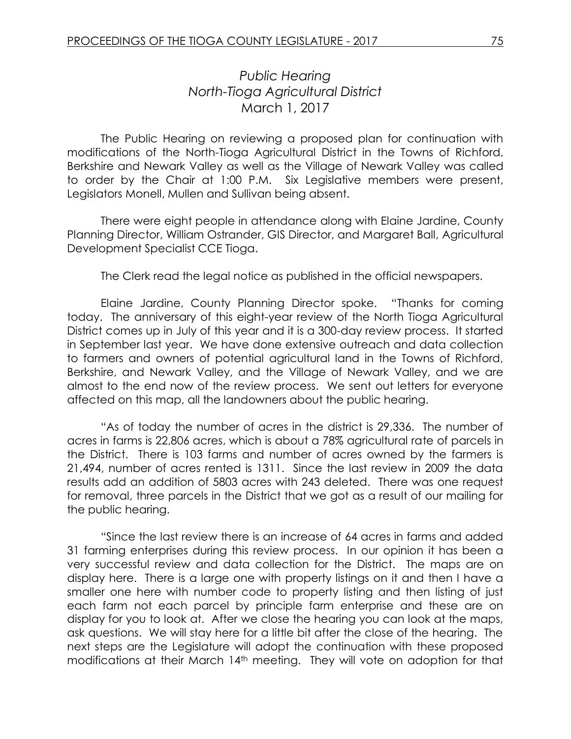## *Public Hearing North-Tioga Agricultural District* March 1, 2017

The Public Hearing on reviewing a proposed plan for continuation with modifications of the North-Tioga Agricultural District in the Towns of Richford, Berkshire and Newark Valley as well as the Village of Newark Valley was called to order by the Chair at 1:00 P.M. Six Legislative members were present, Legislators Monell, Mullen and Sullivan being absent.

There were eight people in attendance along with Elaine Jardine, County Planning Director, William Ostrander, GIS Director, and Margaret Ball, Agricultural Development Specialist CCE Tioga.

The Clerk read the legal notice as published in the official newspapers.

Elaine Jardine, County Planning Director spoke. "Thanks for coming today. The anniversary of this eight-year review of the North Tioga Agricultural District comes up in July of this year and it is a 300-day review process. It started in September last year. We have done extensive outreach and data collection to farmers and owners of potential agricultural land in the Towns of Richford, Berkshire, and Newark Valley, and the Village of Newark Valley, and we are almost to the end now of the review process. We sent out letters for everyone affected on this map, all the landowners about the public hearing.

"As of today the number of acres in the district is 29,336. The number of acres in farms is 22,806 acres, which is about a 78% agricultural rate of parcels in the District. There is 103 farms and number of acres owned by the farmers is 21,494, number of acres rented is 1311. Since the last review in 2009 the data results add an addition of 5803 acres with 243 deleted. There was one request for removal, three parcels in the District that we got as a result of our mailing for the public hearing.

"Since the last review there is an increase of 64 acres in farms and added 31 farming enterprises during this review process. In our opinion it has been a very successful review and data collection for the District. The maps are on display here. There is a large one with property listings on it and then I have a smaller one here with number code to property listing and then listing of just each farm not each parcel by principle farm enterprise and these are on display for you to look at. After we close the hearing you can look at the maps, ask questions. We will stay here for a little bit after the close of the hearing. The next steps are the Legislature will adopt the continuation with these proposed modifications at their March 14th meeting. They will vote on adoption for that